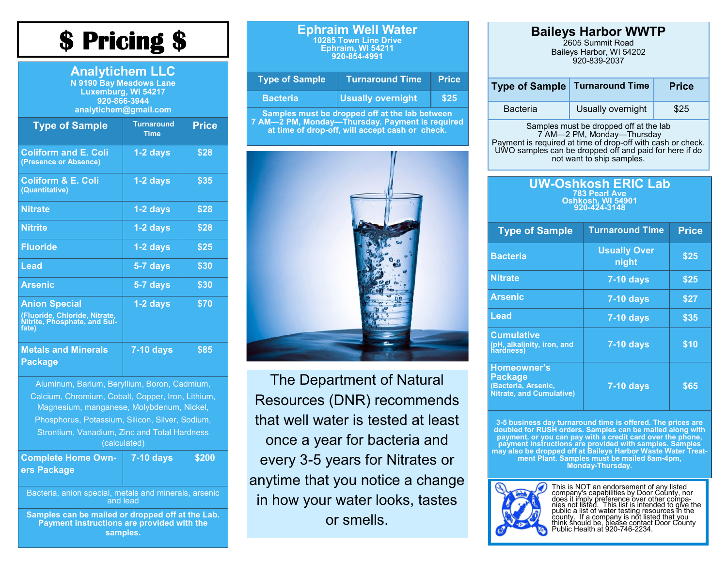## **\$ Pricing \$**

| <b>Analytichem LLC</b><br><b>N 9190 Bay Meadows Lane</b><br>Luxemburg, WI 54217<br>920-866-3944<br>analytichem@gmail.com |                                  |              |  |
|--------------------------------------------------------------------------------------------------------------------------|----------------------------------|--------------|--|
| <b>Type of Sample</b>                                                                                                    | <b>Turnaround</b><br><b>Time</b> | <b>Price</b> |  |
| <b>Coliform and E. Coli</b><br>(Presence or Absence)                                                                     | $1-2$ days                       | \$28         |  |
| <b>Coliform &amp; E. Coli</b><br>(Quantitative)                                                                          | 1-2 days                         | \$35         |  |
| <b>Nitrate</b>                                                                                                           | $1-2$ days                       | \$28         |  |
| <b>Nitrite</b>                                                                                                           | $1-2$ days                       | \$28         |  |
| <b>Fluoride</b>                                                                                                          | 1-2 days                         | \$25         |  |
| Lead                                                                                                                     | 5-7 days                         | \$30         |  |
| <b>Arsenic</b>                                                                                                           | 5-7 days                         | \$30         |  |
| <b>Anion Special</b><br>(Fluoride, Chloride, Nitrate,<br>Nitrite, Phosphate, and Sul-<br>fate)                           | 1-2 days                         | \$70         |  |
| <b>Metals and Minerals</b><br>Package                                                                                    | <b>7-10 days</b>                 | \$85         |  |

Aluminum, Barium, Beryllium, Boron, Cadmium, Calcium, Chromium, Cobalt, Copper, Iron, Lithium, Magnesium, manganese, Molybdenum, Nickel, Phosphorus, Potassium, Silicon, Silver, Sodium, Strontium, Vanadium, Zinc and Total Hardness (calculated) **Complete Home Owners Package 7-10 days \$200**

Bacteria, anion special, metals and minerals, arsenic and lead

**Samples can be mailed or dropped off at the Lab. Payment instructions are provided with the samples.** 

#### **Ephraim Well Water 10285 Town Line Drive Ephraim, WI 54211 920-854-4991**

| <b>Type of Sample</b>                                                                            | <b>Turnaround Time</b> | <b>Price</b> |  |
|--------------------------------------------------------------------------------------------------|------------------------|--------------|--|
| <b>Bacteria</b>                                                                                  | Usually overnight,     | <b>\$25</b>  |  |
| Samples must be dropped off at the lab between<br>7.AM ODM Mandari Thomaday Darmant la nancina d |                        |              |  |

**7 AM—2 PM, Monday—Thursday. Payment is required at time of drop-off, will accept cash or check.**



The Department of Natural Resources (DNR) recommends that well water is tested at least once a year for bacteria and every 3-5 years for Nitrates or anytime that you notice a change in how your water looks, tastes or smells.

#### **Baileys Harbor WWTP**

2605 Summit Road Baileys Harbor, WI 54202 920-839-2037

|                 | <b>Type of Sample Turnaround Time</b> | <b>Price</b> |
|-----------------|---------------------------------------|--------------|
| <b>Bacteria</b> | Usually overnight                     | \$25         |

Samples must be dropped off at the lab 7 AM—2 PM, Monday—Thursday Payment is required at time of drop-off with cash or check. UWO samples can be dropped off and paid for here if do not want to ship samples.

| UW-Oshkosh ERIC Lab                      |
|------------------------------------------|
| <b>783 Pearl Ave</b>                     |
| <b>Oshkosh, WI 54901</b><br>920-424-3148 |

| <b>Type of Sample</b>                                                            | <b>Turnaround Time</b>       | <b>Price</b> |
|----------------------------------------------------------------------------------|------------------------------|--------------|
| <b>Bacteria</b>                                                                  | <b>Usually Over</b><br>night | \$25         |
| <b>Nitrate</b>                                                                   | $7-10$ days                  | \$25         |
| <b>Arsenic</b>                                                                   | <b>7-10 days</b>             | \$27         |
| Lead                                                                             | <b>7-10 days</b>             | \$35         |
| <b>Cumulative</b><br>(pH, alkalinity, iron, and<br>hardness)                     | <b>7-10 days</b>             | \$10         |
| Homeowner's<br><b>Package</b><br>(Bacteria, Arsenic,<br>Nitrate, and Cumulative) | <b>7-10 days</b>             | \$65         |

3-5 business day turnaround time is offered. The prices are<br>doubled for RUSH orders. Samples can be mailed along with<br>payment, or you can pay with a credit card over the phone,<br>payment instructions are provided with sample **ment Plant. Samples must be mailed 8am-4pm, Monday-Thursday.**



This is NOT an endorsement of any listed<br>company's capabilities by Door County, nor<br>does it imply preference over other compa-<br>nies not listed. This list is intended to give the<br>public a list of water testing resources in